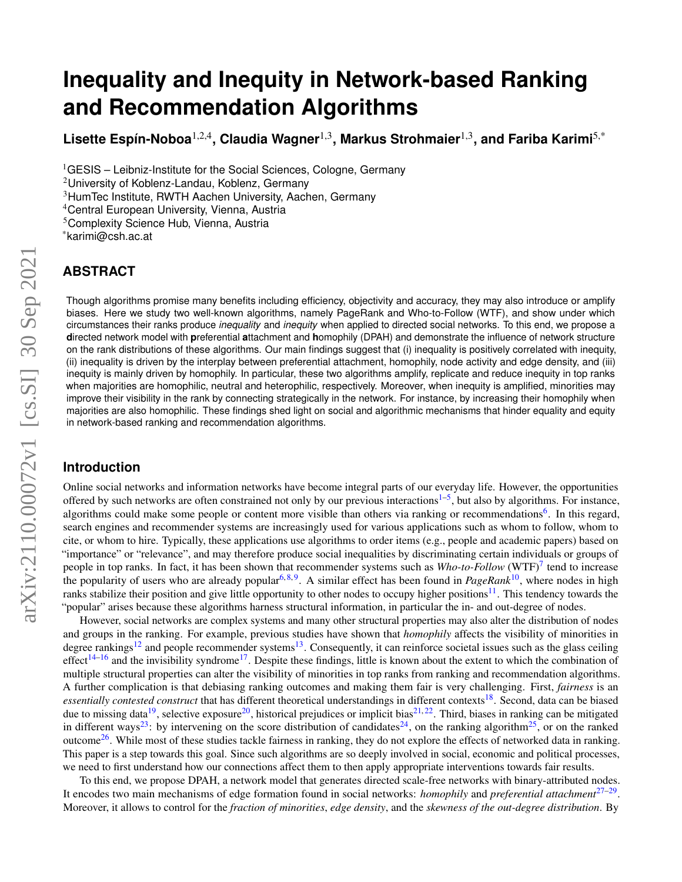# **Inequality and Inequity in Network-based Ranking and Recommendation Algorithms**

Lisette Espín-Noboa<sup>1,2,4</sup>, Claudia Wagner<sup>1,3</sup>, Markus Strohmaier<sup>1,3</sup>, and Fariba Karimi<sup>5,\*</sup>

 $1$ GESIS – Leibniz-Institute for the Social Sciences, Cologne, Germany

<sup>2</sup>University of Koblenz-Landau, Koblenz, Germany

<sup>3</sup>HumTec Institute, RWTH Aachen University, Aachen, Germany

<sup>4</sup>Central European University, Vienna, Austria

<sup>5</sup>Complexity Science Hub, Vienna, Austria

\*karimi@csh.ac.at

# **ABSTRACT**

Though algorithms promise many benefits including efficiency, objectivity and accuracy, they may also introduce or amplify biases. Here we study two well-known algorithms, namely PageRank and Who-to-Follow (WTF), and show under which circumstances their ranks produce *inequality* and *inequity* when applied to directed social networks. To this end, we propose a **d**irected network model with **p**referential **a**ttachment and **h**omophily (DPAH) and demonstrate the influence of network structure on the rank distributions of these algorithms. Our main findings suggest that (i) inequality is positively correlated with inequity, (ii) inequality is driven by the interplay between preferential attachment, homophily, node activity and edge density, and (iii) inequity is mainly driven by homophily. In particular, these two algorithms amplify, replicate and reduce inequity in top ranks when majorities are homophilic, neutral and heterophilic, respectively. Moreover, when inequity is amplified, minorities may improve their visibility in the rank by connecting strategically in the network. For instance, by increasing their homophily when majorities are also homophilic. These findings shed light on social and algorithmic mechanisms that hinder equality and equity in network-based ranking and recommendation algorithms.

## **Introduction**

Online social networks and information networks have become integral parts of our everyday life. However, the opportunities offered by such networks are often constrained not only by our previous interactions<sup>1-[5](#page-6-1)</sup>, but also by algorithms. For instance, algorithms could make some people or content more visible than others via ranking or recommendations<sup>[6](#page-6-2)</sup>. In this regard, search engines and recommender systems are increasingly used for various applications such as whom to follow, whom to cite, or whom to hire. Typically, these applications use algorithms to order items (e.g., people and academic papers) based on "importance" or "relevance", and may therefore produce social inequalities by discriminating certain individuals or groups of people in top ranks. In fact, it has been shown that recommender systems such as *Who-to-Follow* (WTF)<sup>[7](#page-6-3)</sup> tend to increase the popularity of users who are already popular<sup>[6,](#page-6-2)[8,](#page-6-4)[9](#page-6-5)</sup>. A similar effect has been found in *PageRank*<sup>[10](#page-6-6)</sup>, where nodes in high ranks stabilize their position and give little opportunity to other nodes to occupy higher positions<sup>[11](#page-6-7)</sup>. This tendency towards the "popular" arises because these algorithms harness structural information, in particular the in- and out-degree of nodes.

However, social networks are complex systems and many other structural properties may also alter the distribution of nodes and groups in the ranking. For example, previous studies have shown that *homophily* affects the visibility of minorities in degree rankings<sup>[12](#page-6-8)</sup> and people recommender systems<sup>[13](#page-6-9)</sup>. Consequently, it can reinforce societal issues such as the glass ceiling effect<sup>[14](#page-6-10)[–16](#page-7-0)</sup> and the invisibility syndrome<sup>[17](#page-7-1)</sup>. Despite these findings, little is known about the extent to which the combination of multiple structural properties can alter the visibility of minorities in top ranks from ranking and recommendation algorithms. A further complication is that debiasing ranking outcomes and making them fair is very challenging. First, *fairness* is an essentially contested construct that has different theoretical understandings in different contexts<sup>[18](#page-7-2)</sup>. Second, data can be biased due to missing data<sup>[19](#page-7-3)</sup>, selective exposure<sup>[20](#page-7-4)</sup>, historical prejudices or implicit bias<sup>[21,](#page-7-5) [22](#page-7-6)</sup>. Third, biases in ranking can be mitigated in different ways<sup>[23](#page-7-7)</sup>: by intervening on the score distribution of candidates<sup>[24](#page-7-8)</sup>, on the ranking algorithm<sup>[25](#page-7-9)</sup>, or on the ranked outcome<sup>[26](#page-7-10)</sup>. While most of these studies tackle fairness in ranking, they do not explore the effects of networked data in ranking. This paper is a step towards this goal. Since such algorithms are so deeply involved in social, economic and political processes, we need to first understand how our connections affect them to then apply appropriate interventions towards fair results.

To this end, we propose DPAH, a network model that generates directed scale-free networks with binary-attributed nodes. It encodes two main mechanisms of edge formation found in social networks: *homophily* and *preferential attachment*[27–](#page-7-11)[29](#page-7-12) . Moreover, it allows to control for the *fraction of minorities*, *edge density*, and the *skewness of the out-degree distribution*. By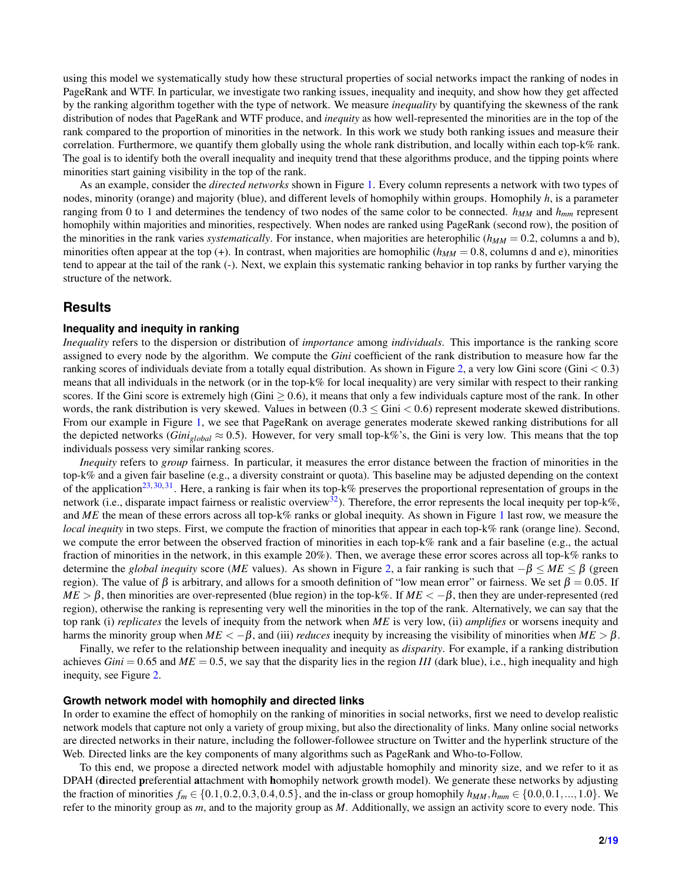using this model we systematically study how these structural properties of social networks impact the ranking of nodes in PageRank and WTF. In particular, we investigate two ranking issues, inequality and inequity, and show how they get affected by the ranking algorithm together with the type of network. We measure *inequality* by quantifying the skewness of the rank distribution of nodes that PageRank and WTF produce, and *inequity* as how well-represented the minorities are in the top of the rank compared to the proportion of minorities in the network. In this work we study both ranking issues and measure their correlation. Furthermore, we quantify them globally using the whole rank distribution, and locally within each top-k% rank. The goal is to identify both the overall inequality and inequity trend that these algorithms produce, and the tipping points where minorities start gaining visibility in the top of the rank.

As an example, consider the *directed networks* shown in Figure [1.](#page-9-0) Every column represents a network with two types of nodes, minority (orange) and majority (blue), and different levels of homophily within groups. Homophily *h*, is a parameter ranging from 0 to 1 and determines the tendency of two nodes of the same color to be connected. *hMM* and *hmm* represent homophily within majorities and minorities, respectively. When nodes are ranked using PageRank (second row), the position of the minorities in the rank varies *systematically*. For instance, when majorities are heterophilic (*hMM* = 0.2, columns a and b), minorities often appear at the top  $(+)$ . In contrast, when majorities are homophilic  $(h_{MM} = 0.8$ , columns d and e), minorities tend to appear at the tail of the rank (-). Next, we explain this systematic ranking behavior in top ranks by further varying the structure of the network.

## **Results**

#### **Inequality and inequity in ranking**

*Inequality* refers to the dispersion or distribution of *importance* among *individuals*. This importance is the ranking score assigned to every node by the algorithm. We compute the *Gini* coefficient of the rank distribution to measure how far the ranking scores of individuals deviate from a totally equal distribution. As shown in Figure [2,](#page-10-0) a very low Gini score (Gini  $< 0.3$ ) means that all individuals in the network (or in the top-k% for local inequality) are very similar with respect to their ranking scores. If the Gini score is extremely high (Gini  $\geq 0.6$ ), it means that only a few individuals capture most of the rank. In other words, the rank distribution is very skewed. Values in between  $(0.3 \leq Gini < 0.6)$  represent moderate skewed distributions. From our example in Figure [1,](#page-9-0) we see that PageRank on average generates moderate skewed ranking distributions for all the depicted networks (*Gini<sub>global</sub>*  $\approx$  0.5). However, for very small top-k%'s, the Gini is very low. This means that the top individuals possess very similar ranking scores.

*Inequity* refers to *group* fairness. In particular, it measures the error distance between the fraction of minorities in the top-k% and a given fair baseline (e.g., a diversity constraint or quota). This baseline may be adjusted depending on the context of the application<sup>[23,](#page-7-7) [30,](#page-7-13) [31](#page-7-14)</sup>. Here, a ranking is fair when its top-k% preserves the proportional representation of groups in the network (i.e., disparate impact fairness or realistic overview<sup>[32](#page-7-15)</sup>). Therefore, the error represents the local inequity per top-k%, and *ME* the mean of these errors across all top-k% ranks or global inequity. As shown in Figure [1](#page-9-0) last row, we measure the *local inequity* in two steps. First, we compute the fraction of minorities that appear in each top-k% rank (orange line). Second, we compute the error between the observed fraction of minorities in each top-k% rank and a fair baseline (e.g., the actual fraction of minorities in the network, in this example 20%). Then, we average these error scores across all top-k% ranks to determine the *global inequity* score (*ME* values). As shown in Figure [2,](#page-10-0) a fair ranking is such that  $-\beta \leq ME \leq \beta$  (green region). The value of β is arbitrary, and allows for a smooth definition of "low mean error" or fairness. We set  $β = 0.05$ . If  $ME > \beta$ , then minorities are over-represented (blue region) in the top-k%. If  $ME < -\beta$ , then they are under-represented (red region), otherwise the ranking is representing very well the minorities in the top of the rank. Alternatively, we can say that the top rank (i) *replicates* the levels of inequity from the network when *ME* is very low, (ii) *amplifies* or worsens inequity and harms the minority group when  $ME < -\beta$ , and (iii) *reduces* inequity by increasing the visibility of minorities when  $ME > \beta$ .

Finally, we refer to the relationship between inequality and inequity as *disparity*. For example, if a ranking distribution achieves  $Gini = 0.65$  and  $ME = 0.5$ , we say that the disparity lies in the region *III* (dark blue), i.e., high inequality and high inequity, see Figure [2.](#page-10-0)

#### **Growth network model with homophily and directed links**

In order to examine the effect of homophily on the ranking of minorities in social networks, first we need to develop realistic network models that capture not only a variety of group mixing, but also the directionality of links. Many online social networks are directed networks in their nature, including the follower-followee structure on Twitter and the hyperlink structure of the Web. Directed links are the key components of many algorithms such as PageRank and Who-to-Follow.

To this end, we propose a directed network model with adjustable homophily and minority size, and we refer to it as DPAH (directed preferential attachment with homophily network growth model). We generate these networks by adjusting the fraction of minorities  $f_m \in \{0.1, 0.2, 0.3, 0.4, 0.5\}$ , and the in-class or group homophily  $h_{MM}, h_{mm} \in \{0.0, 0.1, ..., 1.0\}$ . We refer to the minority group as *m*, and to the majority group as *M*. Additionally, we assign an activity score to every node. This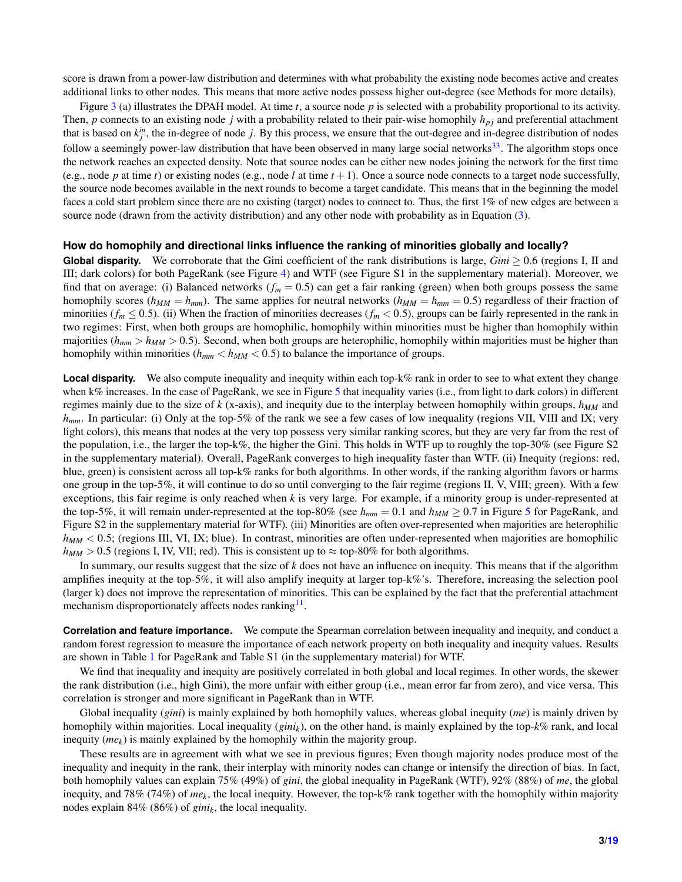score is drawn from a power-law distribution and determines with what probability the existing node becomes active and creates additional links to other nodes. This means that more active nodes possess higher out-degree (see Methods for more details).

Figure [3](#page-10-1) (a) illustrates the DPAH model. At time *t*, a source node *p* is selected with a probability proportional to its activity. Then,  $p$  connects to an existing node  $j$  with a probability related to their pair-wise homophily  $h_{pj}$  and preferential attachment that is based on  $k_j^i$ , the in-degree of node *j*. By this process, we ensure that the out-degree and in-degree distribution of nodes follow a seemingly power-law distribution that have been observed in many large social networks $33$ . The algorithm stops once the network reaches an expected density. Note that source nodes can be either new nodes joining the network for the first time (e.g., node *p* at time *t*) or existing nodes (e.g., node *l* at time  $t + 1$ ). Once a source node connects to a target node successfully, the source node becomes available in the next rounds to become a target candidate. This means that in the beginning the model faces a cold start problem since there are no existing (target) nodes to connect to. Thus, the first 1% of new edges are between a source node (drawn from the activity distribution) and any other node with probability as in Equation [\(3\)](#page-5-0).

#### **How do homophily and directional links influence the ranking of minorities globally and locally?**

**Global disparity.** We corroborate that the Gini coefficient of the rank distributions is large, *Gini* ≥ 0.6 (regions I, II and III; dark colors) for both PageRank (see Figure [4\)](#page-11-0) and WTF (see Figure S1 in the supplementary material). Moreover, we find that on average: (i) Balanced networks  $(f_m = 0.5)$  can get a fair ranking (green) when both groups possess the same homophily scores ( $h_{MM} = h_{mm}$ ). The same applies for neutral networks ( $h_{MM} = h_{mm} = 0.5$ ) regardless of their fraction of minorities ( $f_m \le 0.5$ ). (ii) When the fraction of minorities decreases ( $f_m < 0.5$ ), groups can be fairly represented in the rank in two regimes: First, when both groups are homophilic, homophily within minorities must be higher than homophily within majorities ( $h_{mm} > h_{MM} > 0.5$ ). Second, when both groups are heterophilic, homophily within majorities must be higher than homophily within minorities ( $h_{mm} < h_{MM} < 0.5$ ) to balance the importance of groups.

**Local disparity.** We also compute inequality and inequity within each top-k% rank in order to see to what extent they change when k% increases. In the case of PageRank, we see in Figure [5](#page-11-1) that inequality varies (i.e., from light to dark colors) in different regimes mainly due to the size of *k* (x-axis), and inequity due to the interplay between homophily within groups, *hMM* and *hmm*. In particular: (i) Only at the top-5% of the rank we see a few cases of low inequality (regions VII, VIII and IX; very light colors), this means that nodes at the very top possess very similar ranking scores, but they are very far from the rest of the population, i.e., the larger the top-k%, the higher the Gini. This holds in WTF up to roughly the top-30% (see Figure S2 in the supplementary material). Overall, PageRank converges to high inequality faster than WTF. (ii) Inequity (regions: red, blue, green) is consistent across all top-k% ranks for both algorithms. In other words, if the ranking algorithm favors or harms one group in the top-5%, it will continue to do so until converging to the fair regime (regions II, V, VIII; green). With a few exceptions, this fair regime is only reached when *k* is very large. For example, if a minority group is under-represented at the top-[5](#page-11-1)%, it will remain under-represented at the top-80% (see  $h_{mm} = 0.1$  and  $h_{MM} \ge 0.7$  in Figure 5 for PageRank, and Figure S2 in the supplementary material for WTF). (iii) Minorities are often over-represented when majorities are heterophilic *hMM* < 0.5; (regions III, VI, IX; blue). In contrast, minorities are often under-represented when majorities are homophilic  $h_{MM} > 0.5$  (regions I, IV, VII; red). This is consistent up to  $\approx$  top-80% for both algorithms.

In summary, our results suggest that the size of *k* does not have an influence on inequity. This means that if the algorithm amplifies inequity at the top-5%, it will also amplify inequity at larger top-k%'s. Therefore, increasing the selection pool (larger k) does not improve the representation of minorities. This can be explained by the fact that the preferential attachment mechanism disproportionately affects nodes ranking<sup>[11](#page-6-7)</sup>.

**Correlation and feature importance.** We compute the Spearman correlation between inequality and inequity, and conduct a random forest regression to measure the importance of each network property on both inequality and inequity values. Results are shown in Table [1](#page-3-0) for PageRank and Table S1 (in the supplementary material) for WTF.

We find that inequality and inequity are positively correlated in both global and local regimes. In other words, the skewer the rank distribution (i.e., high Gini), the more unfair with either group (i.e., mean error far from zero), and vice versa. This correlation is stronger and more significant in PageRank than in WTF.

Global inequality (*gini*) is mainly explained by both homophily values, whereas global inequity (*me*) is mainly driven by homophily within majorities. Local inequality (*ginik*), on the other hand, is mainly explained by the top-*k*% rank, and local inequity (*mek*) is mainly explained by the homophily within the majority group.

These results are in agreement with what we see in previous figures; Even though majority nodes produce most of the inequality and inequity in the rank, their interplay with minority nodes can change or intensify the direction of bias. In fact, both homophily values can explain 75% (49%) of *gini*, the global inequality in PageRank (WTF), 92% (88%) of *me*, the global inequity, and 78% (74%) of *me<sup>k</sup>* , the local inequity. However, the top-k% rank together with the homophily within majority nodes explain 84% (86%) of *gini<sup>k</sup>* , the local inequality.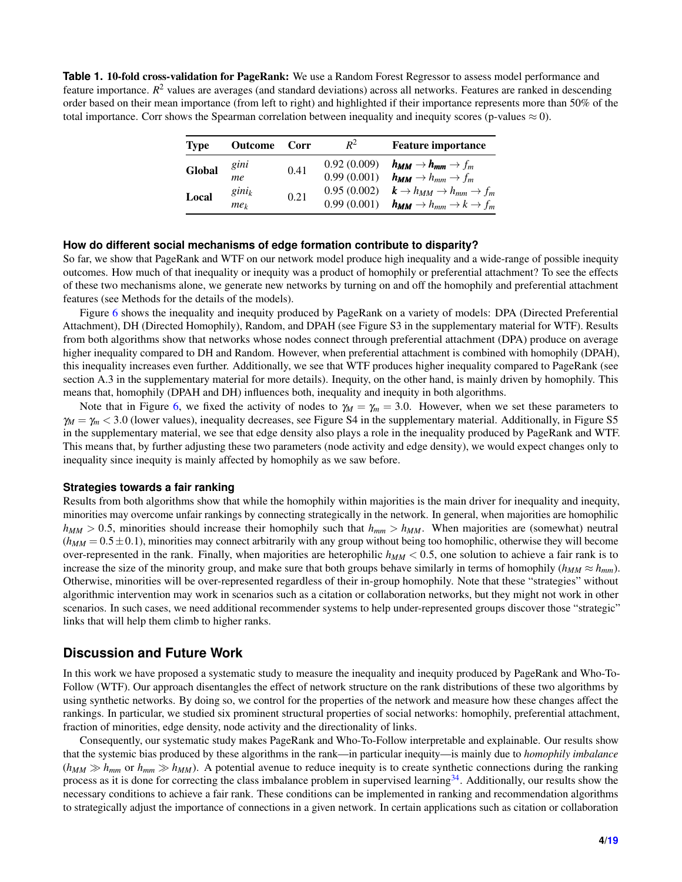<span id="page-3-0"></span>**Table 1.** 10-fold cross-validation for PageRank: We use a Random Forest Regressor to assess model performance and feature importance. *R*<sup>2</sup> values are averages (and standard deviations) across all networks. Features are ranked in descending order based on their mean importance (from left to right) and highlighted if their importance represents more than 50% of the total importance. Corr shows the Spearman correlation between inequality and inequity scores (p-values  $\approx 0$ ).

| <b>Type</b> | <b>Outcome</b>  | Corr | $R^2$       | <b>Feature importance</b>                                          |
|-------------|-----------------|------|-------------|--------------------------------------------------------------------|
| Global      | gini            | 0.41 | 0.92(0.009) | $h_{MM} \rightarrow h_{mm} \rightarrow f_m$                        |
|             | me              |      | 0.99(0.001) | $h_{MM} \rightarrow h_{mm} \rightarrow f_m$                        |
| Local       | $gini_k$        | 0.21 | 0.95(0.002) | $\mathbf{k} \rightarrow h_{MM} \rightarrow h_{mm} \rightarrow f_m$ |
|             | me <sub>k</sub> |      | 0.99(0.001) | $h_{MM} \rightarrow h_{mm} \rightarrow k \rightarrow f_m$          |

#### **How do different social mechanisms of edge formation contribute to disparity?**

So far, we show that PageRank and WTF on our network model produce high inequality and a wide-range of possible inequity outcomes. How much of that inequality or inequity was a product of homophily or preferential attachment? To see the effects of these two mechanisms alone, we generate new networks by turning on and off the homophily and preferential attachment features (see Methods for the details of the models).

Figure [6](#page-12-0) shows the inequality and inequity produced by PageRank on a variety of models: DPA (Directed Preferential Attachment), DH (Directed Homophily), Random, and DPAH (see Figure S3 in the supplementary material for WTF). Results from both algorithms show that networks whose nodes connect through preferential attachment (DPA) produce on average higher inequality compared to DH and Random. However, when preferential attachment is combined with homophily (DPAH), this inequality increases even further. Additionally, we see that WTF produces higher inequality compared to PageRank (see section A.3 in the supplementary material for more details). Inequity, on the other hand, is mainly driven by homophily. This means that, homophily (DPAH and DH) influences both, inequality and inequity in both algorithms.

Note that in Figure [6,](#page-12-0) we fixed the activity of nodes to  $\gamma_M = \gamma_m = 3.0$ . However, when we set these parameters to γ*<sup>M</sup>* = γ*<sup>m</sup>* < 3.0 (lower values), inequality decreases, see Figure S4 in the supplementary material. Additionally, in Figure S5 in the supplementary material, we see that edge density also plays a role in the inequality produced by PageRank and WTF. This means that, by further adjusting these two parameters (node activity and edge density), we would expect changes only to inequality since inequity is mainly affected by homophily as we saw before.

#### **Strategies towards a fair ranking**

Results from both algorithms show that while the homophily within majorities is the main driver for inequality and inequity, minorities may overcome unfair rankings by connecting strategically in the network. In general, when majorities are homophilic  $h_{MM} > 0.5$ , minorities should increase their homophily such that  $h_{mm} > h_{MM}$ . When majorities are (somewhat) neutral  $(h_{MM} = 0.5 \pm 0.1)$ , minorities may connect arbitrarily with any group without being too homophilic, otherwise they will become over-represented in the rank. Finally, when majorities are heterophilic  $h_{MM}$  < 0.5, one solution to achieve a fair rank is to increase the size of the minority group, and make sure that both groups behave similarly in terms of homophily ( $h_{MM} \approx h_{mm}$ ). Otherwise, minorities will be over-represented regardless of their in-group homophily. Note that these "strategies" without algorithmic intervention may work in scenarios such as a citation or collaboration networks, but they might not work in other scenarios. In such cases, we need additional recommender systems to help under-represented groups discover those "strategic" links that will help them climb to higher ranks.

## **Discussion and Future Work**

In this work we have proposed a systematic study to measure the inequality and inequity produced by PageRank and Who-To-Follow (WTF). Our approach disentangles the effect of network structure on the rank distributions of these two algorithms by using synthetic networks. By doing so, we control for the properties of the network and measure how these changes affect the rankings. In particular, we studied six prominent structural properties of social networks: homophily, preferential attachment, fraction of minorities, edge density, node activity and the directionality of links.

Consequently, our systematic study makes PageRank and Who-To-Follow interpretable and explainable. Our results show that the systemic bias produced by these algorithms in the rank—in particular inequity—is mainly due to *homophily imbalance*  $(h_{MM} \gg h_{mm}$  or  $h_{mm} \gg h_{MM}$ ). A potential avenue to reduce inequity is to create synthetic connections during the ranking process as it is done for correcting the class imbalance problem in supervised learning[34](#page-7-17). Additionally, our results show the necessary conditions to achieve a fair rank. These conditions can be implemented in ranking and recommendation algorithms to strategically adjust the importance of connections in a given network. In certain applications such as citation or collaboration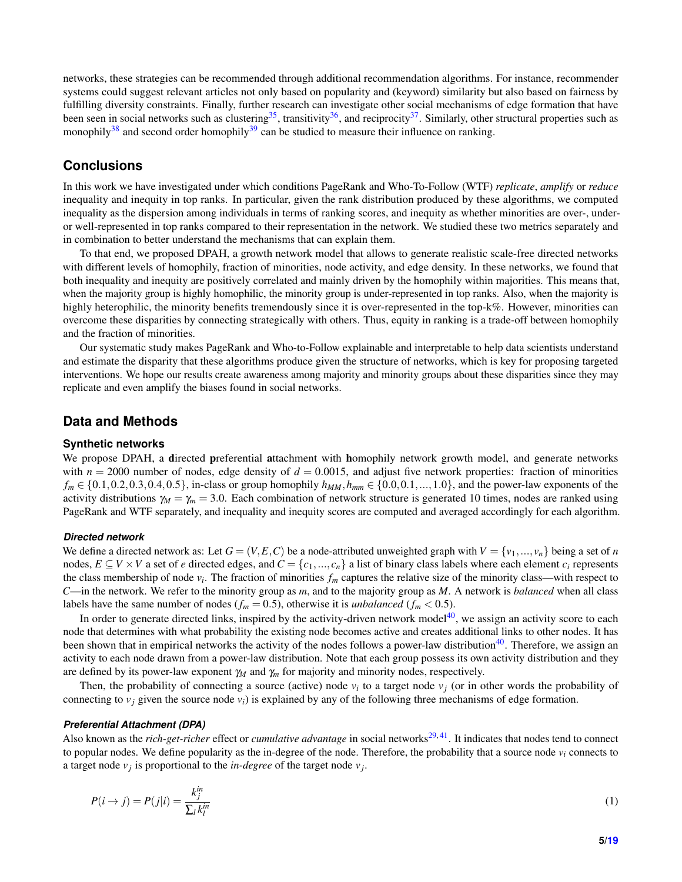networks, these strategies can be recommended through additional recommendation algorithms. For instance, recommender systems could suggest relevant articles not only based on popularity and (keyword) similarity but also based on fairness by fulfilling diversity constraints. Finally, further research can investigate other social mechanisms of edge formation that have been seen in social networks such as clustering<sup>[35](#page-7-18)</sup>, transitivity<sup>[36](#page-7-19)</sup>, and reciprocity<sup>[37](#page-7-20)</sup>. Similarly, other structural properties such as monophily<sup>[38](#page-7-21)</sup> and second order homophily<sup>[39](#page-7-22)</sup> can be studied to measure their influence on ranking.

## **Conclusions**

In this work we have investigated under which conditions PageRank and Who-To-Follow (WTF) *replicate*, *amplify* or *reduce* inequality and inequity in top ranks. In particular, given the rank distribution produced by these algorithms, we computed inequality as the dispersion among individuals in terms of ranking scores, and inequity as whether minorities are over-, underor well-represented in top ranks compared to their representation in the network. We studied these two metrics separately and in combination to better understand the mechanisms that can explain them.

To that end, we proposed DPAH, a growth network model that allows to generate realistic scale-free directed networks with different levels of homophily, fraction of minorities, node activity, and edge density. In these networks, we found that both inequality and inequity are positively correlated and mainly driven by the homophily within majorities. This means that, when the majority group is highly homophilic, the minority group is under-represented in top ranks. Also, when the majority is highly heterophilic, the minority benefits tremendously since it is over-represented in the top-k%. However, minorities can overcome these disparities by connecting strategically with others. Thus, equity in ranking is a trade-off between homophily and the fraction of minorities.

Our systematic study makes PageRank and Who-to-Follow explainable and interpretable to help data scientists understand and estimate the disparity that these algorithms produce given the structure of networks, which is key for proposing targeted interventions. We hope our results create awareness among majority and minority groups about these disparities since they may replicate and even amplify the biases found in social networks.

## **Data and Methods**

#### **Synthetic networks**

We propose DPAH, a directed preferential attachment with homophily network growth model, and generate networks with  $n = 2000$  number of nodes, edge density of  $d = 0.0015$ , and adjust five network properties: fraction of minorities  $f_m \in \{0.1, 0.2, 0.3, 0.4, 0.5\}$ , in-class or group homophily  $h_{MM}$ ,  $h_{mm} \in \{0.0, 0.1, ..., 1.0\}$ , and the power-law exponents of the activity distributions  $\gamma_M = \gamma_m = 3.0$ . Each combination of network structure is generated 10 times, nodes are ranked using PageRank and WTF separately, and inequality and inequity scores are computed and averaged accordingly for each algorithm.

#### *Directed network*

We define a directed network as: Let  $G = (V, E, C)$  be a node-attributed unweighted graph with  $V = \{v_1, ..., v_n\}$  being a set of *n* nodes,  $E \subseteq V \times V$  a set of *e* directed edges, and  $C = \{c_1, ..., c_n\}$  a list of binary class labels where each element  $c_i$  represents the class membership of node *v<sup>i</sup>* . The fraction of minorities *f<sup>m</sup>* captures the relative size of the minority class—with respect to *C*—in the network. We refer to the minority group as *m*, and to the majority group as *M*. A network is *balanced* when all class labels have the same number of nodes ( $f_m = 0.5$ ), otherwise it is *unbalanced* ( $f_m < 0.5$ ).

In order to generate directed links, inspired by the activity-driven network model $^{40}$  $^{40}$  $^{40}$ , we assign an activity score to each node that determines with what probability the existing node becomes active and creates additional links to other nodes. It has been shown that in empirical networks the activity of the nodes follows a power-law distribution $40$ . Therefore, we assign an activity to each node drawn from a power-law distribution. Note that each group possess its own activity distribution and they are defined by its power-law exponent γ*<sup>M</sup>* and γ*<sup>m</sup>* for majority and minority nodes, respectively.

Then, the probability of connecting a source (active) node  $v_i$  to a target node  $v_j$  (or in other words the probability of connecting to  $v_j$  given the source node  $v_j$  is explained by any of the following three mechanisms of edge formation.

#### *Preferential Attachment (DPA)*

Also known as the *rich-get-richer* effect or *cumulative advantage* in social networks<sup>[29,](#page-7-12)[41](#page-7-24)</sup>. It indicates that nodes tend to connect to popular nodes. We define popularity as the in-degree of the node. Therefore, the probability that a source node  $v_i$  connects to a target node  $v_j$  is proportional to the *in-degree* of the target node  $v_j$ .

$$
P(i \to j) = P(j|i) = \frac{k_j^{in}}{\sum_l k_l^{in}}
$$
\n<sup>(1)</sup>

**5[/19](#page-18-0)**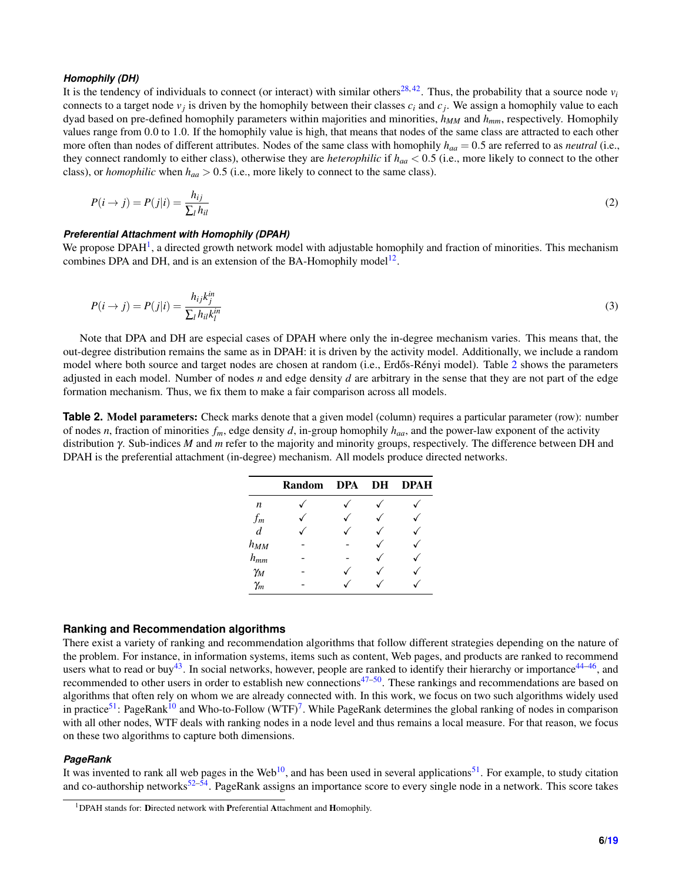#### *Homophily (DH)*

It is the tendency of individuals to connect (or interact) with similar others<sup>[28,](#page-7-25)[42](#page-7-26)</sup>. Thus, the probability that a source node  $v_i$ connects to a target node  $v_j$  is driven by the homophily between their classes  $c_i$  and  $c_j$ . We assign a homophily value to each dyad based on pre-defined homophily parameters within majorities and minorities, *hMM* and *hmm*, respectively. Homophily values range from 0.0 to 1.0. If the homophily value is high, that means that nodes of the same class are attracted to each other more often than nodes of different attributes. Nodes of the same class with homophily *haa* = 0.5 are referred to as *neutral* (i.e., they connect randomly to either class), otherwise they are *heterophilic* if *haa* < 0.5 (i.e., more likely to connect to the other class), or *homophilic* when  $h_{aa} > 0.5$  (i.e., more likely to connect to the same class).

$$
P(i \to j) = P(j|i) = \frac{h_{ij}}{\sum_l h_{il}} \tag{2}
$$

#### *Preferential Attachment with Homophily (DPAH)*

<span id="page-5-0"></span>We propose  $DPAH<sup>1</sup>$  $DPAH<sup>1</sup>$  $DPAH<sup>1</sup>$ , a directed growth network model with adjustable homophily and fraction of minorities. This mechanism combines DPA and DH, and is an extension of the BA-Homophily model<sup>[12](#page-6-8)</sup>.

$$
P(i \to j) = P(j|i) = \frac{h_{ij}k_j^{in}}{\sum_l h_{il}k_l^{in}}
$$
\n(3)

Note that DPA and DH are especial cases of DPAH where only the in-degree mechanism varies. This means that, the out-degree distribution remains the same as in DPAH: it is driven by the activity model. Additionally, we include a random model where both source and target nodes are chosen at random (i.e., Erdős-Rényi model). Table [2](#page-5-2) shows the parameters adjusted in each model. Number of nodes *n* and edge density *d* are arbitrary in the sense that they are not part of the edge formation mechanism. Thus, we fix them to make a fair comparison across all models.

<span id="page-5-2"></span>**Table 2. Model parameters:** Check marks denote that a given model (column) requires a particular parameter (row): number of nodes *n*, fraction of minorities  $f_m$ , edge density *d*, in-group homophily  $h_{aa}$ , and the power-law exponent of the activity distribution γ. Sub-indices *M* and *m* refer to the majority and minority groups, respectively. The difference between DH and DPAH is the preferential attachment (in-degree) mechanism. All models produce directed networks.

|                  | <b>Random</b> | DPA DH | <b>DPAH</b> |
|------------------|---------------|--------|-------------|
| $\boldsymbol{n}$ |               |        |             |
| $f_m$            |               |        |             |
| $\overline{d}$   |               |        |             |
| $h_{MM}$         |               |        |             |
| $h_{mm}$         |               |        |             |
| $\gamma_M$       |               |        |             |
| $\gamma_m$       |               |        |             |

#### **Ranking and Recommendation algorithms**

There exist a variety of ranking and recommendation algorithms that follow different strategies depending on the nature of the problem. For instance, in information systems, items such as content, Web pages, and products are ranked to recommend users what to read or buy<sup>[43](#page-8-0)</sup>. In social networks, however, people are ranked to identify their hierarchy or importance<sup>[44](#page-8-1)[–46](#page-8-2)</sup>, and recommended to other users in order to establish new connections $47-50$  $47-50$ . These rankings and recommendations are based on algorithms that often rely on whom we are already connected with. In this work, we focus on two such algorithms widely used in practice<sup>[51](#page-8-5)</sup>: PageRank<sup>[10](#page-6-6)</sup> and Who-to-Follow (WTF)<sup>[7](#page-6-3)</sup>. While PageRank determines the global ranking of nodes in comparison with all other nodes, WTF deals with ranking nodes in a node level and thus remains a local measure. For that reason, we focus on these two algorithms to capture both dimensions.

#### *PageRank*

It was invented to rank all web pages in the Web<sup>[10](#page-6-6)</sup>, and has been used in several applications<sup>[51](#page-8-5)</sup>. For example, to study citation and co-authorship networks $52-54$  $52-54$ . PageRank assigns an importance score to every single node in a network. This score takes

<span id="page-5-1"></span><sup>&</sup>lt;sup>1</sup>DPAH stands for: Directed network with Preferential Attachment and Homophily.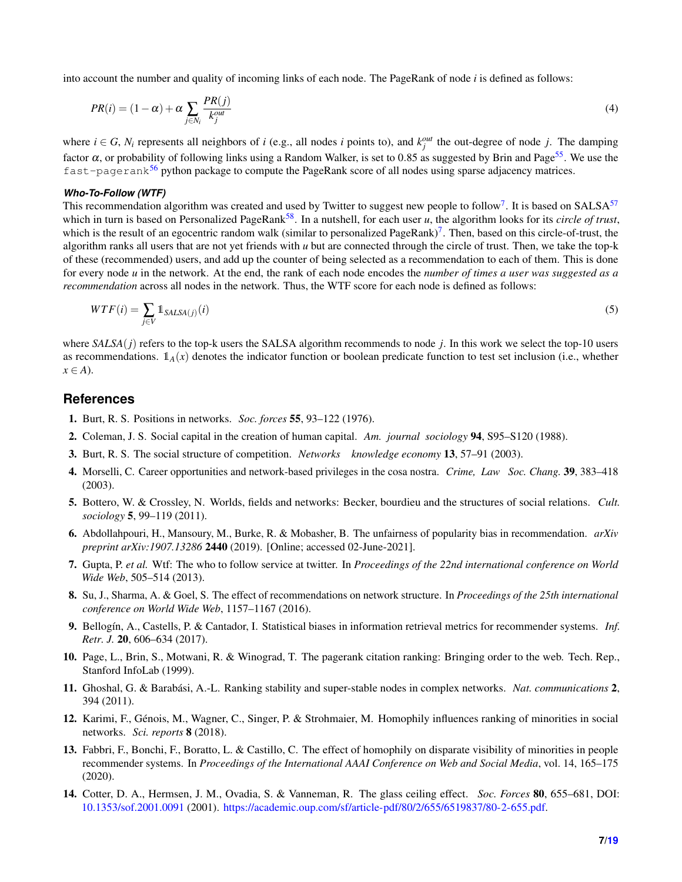into account the number and quality of incoming links of each node. The PageRank of node *i* is defined as follows:

$$
PR(i) = (1 - \alpha) + \alpha \sum_{j \in N_i} \frac{PR(j)}{k_j^{out}}
$$
\n<sup>(4)</sup>

where  $i \in G$ ,  $N_i$  represents all neighbors of *i* (e.g., all nodes *i* points to), and  $k_j^{out}$  the out-degree of node *j*. The damping factor  $\alpha$ , or probability of following links using a Random Walker, is set to 0.85 as suggested by Brin and Page<sup>[55](#page-8-8)</sup>. We use the fast-pagerank<sup>[56](#page-8-9)</sup> python package to compute the PageRank score of all nodes using sparse adjacency matrices.

#### *Who-To-Follow (WTF)*

This recommendation algorithm was created and used by Twitter to suggest new people to follow<sup>[7](#page-6-3)</sup>. It is based on SALSA<sup>[57](#page-8-10)</sup> which in turn is based on Personalized PageRank<sup>[58](#page-8-11)</sup>. In a nutshell, for each user  $u$ , the algorithm looks for its *circle of trust*, which is the result of an egocentric random walk (similar to personalized PageRank)<sup>[7](#page-6-3)</sup>. Then, based on this circle-of-trust, the algorithm ranks all users that are not yet friends with *u* but are connected through the circle of trust. Then, we take the top-k of these (recommended) users, and add up the counter of being selected as a recommendation to each of them. This is done for every node *u* in the network. At the end, the rank of each node encodes the *number of times a user was suggested as a recommendation* across all nodes in the network. Thus, the WTF score for each node is defined as follows:

$$
WTF(i) = \sum_{j \in V} \mathbb{1}_{SALSA(j)}(i) \tag{5}
$$

where *SALSA*(*j*) refers to the top-k users the SALSA algorithm recommends to node *j*. In this work we select the top-10 users as recommendations.  $1_A(x)$  denotes the indicator function or boolean predicate function to test set inclusion (i.e., whether  $x \in A$ ).

## **References**

- <span id="page-6-0"></span>1. Burt, R. S. Positions in networks. *Soc. forces* 55, 93–122 (1976).
- 2. Coleman, J. S. Social capital in the creation of human capital. *Am. journal sociology* 94, S95–S120 (1988).
- 3. Burt, R. S. The social structure of competition. *Networks knowledge economy* 13, 57–91 (2003).
- 4. Morselli, C. Career opportunities and network-based privileges in the cosa nostra. *Crime, Law Soc. Chang.* 39, 383–418 (2003).
- <span id="page-6-1"></span>5. Bottero, W. & Crossley, N. Worlds, fields and networks: Becker, bourdieu and the structures of social relations. *Cult. sociology* 5, 99–119 (2011).
- <span id="page-6-2"></span>6. Abdollahpouri, H., Mansoury, M., Burke, R. & Mobasher, B. The unfairness of popularity bias in recommendation. *arXiv preprint arXiv:1907.13286* 2440 (2019). [Online; accessed 02-June-2021].
- <span id="page-6-3"></span>7. Gupta, P. *et al.* Wtf: The who to follow service at twitter. In *Proceedings of the 22nd international conference on World Wide Web*, 505–514 (2013).
- <span id="page-6-4"></span>8. Su, J., Sharma, A. & Goel, S. The effect of recommendations on network structure. In *Proceedings of the 25th international conference on World Wide Web*, 1157–1167 (2016).
- <span id="page-6-5"></span>9. Bellogín, A., Castells, P. & Cantador, I. Statistical biases in information retrieval metrics for recommender systems. *Inf. Retr. J.* 20, 606–634 (2017).
- <span id="page-6-6"></span>10. Page, L., Brin, S., Motwani, R. & Winograd, T. The pagerank citation ranking: Bringing order to the web. Tech. Rep., Stanford InfoLab (1999).
- <span id="page-6-7"></span>11. Ghoshal, G. & Barabási, A.-L. Ranking stability and super-stable nodes in complex networks. *Nat. communications* 2, 394 (2011).
- <span id="page-6-8"></span>12. Karimi, F., Génois, M., Wagner, C., Singer, P. & Strohmaier, M. Homophily influences ranking of minorities in social networks. *Sci. reports* 8 (2018).
- <span id="page-6-9"></span>13. Fabbri, F., Bonchi, F., Boratto, L. & Castillo, C. The effect of homophily on disparate visibility of minorities in people recommender systems. In *Proceedings of the International AAAI Conference on Web and Social Media*, vol. 14, 165–175 (2020).
- <span id="page-6-10"></span>14. Cotter, D. A., Hermsen, J. M., Ovadia, S. & Vanneman, R. The glass ceiling effect. *Soc. Forces* 80, 655–681, DOI: <10.1353/sof.2001.0091> (2001). [https://academic.oup.com/sf/article-pdf/80/2/655/6519837/80-2-655.pdf.](https://academic.oup.com/sf/article-pdf/80/2/655/6519837/80-2-655.pdf)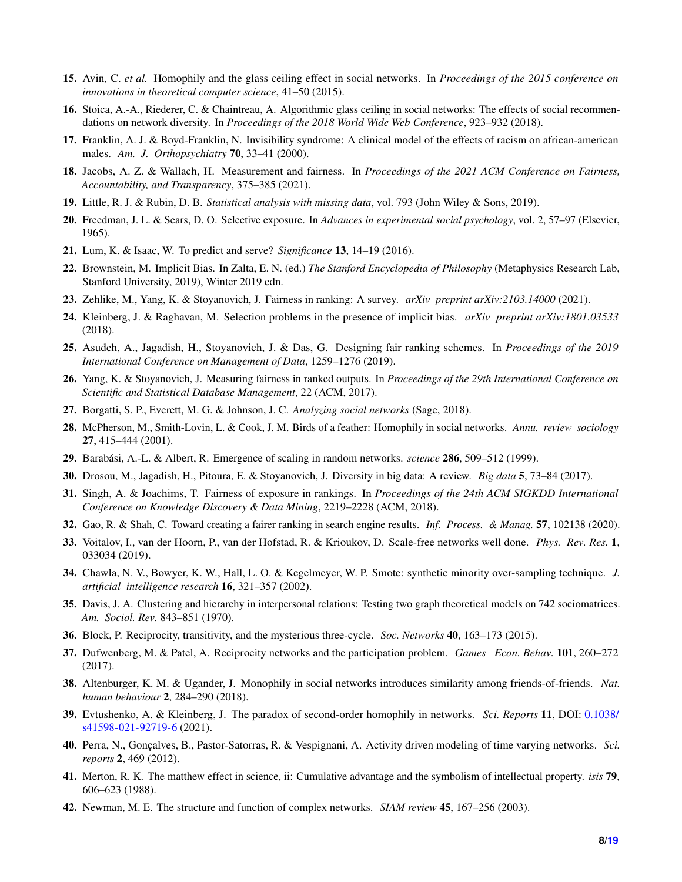- 15. Avin, C. *et al.* Homophily and the glass ceiling effect in social networks. In *Proceedings of the 2015 conference on innovations in theoretical computer science*, 41–50 (2015).
- <span id="page-7-0"></span>16. Stoica, A.-A., Riederer, C. & Chaintreau, A. Algorithmic glass ceiling in social networks: The effects of social recommendations on network diversity. In *Proceedings of the 2018 World Wide Web Conference*, 923–932 (2018).
- <span id="page-7-1"></span>17. Franklin, A. J. & Boyd-Franklin, N. Invisibility syndrome: A clinical model of the effects of racism on african-american males. *Am. J. Orthopsychiatry* 70, 33–41 (2000).
- <span id="page-7-2"></span>18. Jacobs, A. Z. & Wallach, H. Measurement and fairness. In *Proceedings of the 2021 ACM Conference on Fairness, Accountability, and Transparency*, 375–385 (2021).
- <span id="page-7-3"></span>19. Little, R. J. & Rubin, D. B. *Statistical analysis with missing data*, vol. 793 (John Wiley & Sons, 2019).
- <span id="page-7-4"></span>20. Freedman, J. L. & Sears, D. O. Selective exposure. In *Advances in experimental social psychology*, vol. 2, 57–97 (Elsevier, 1965).
- <span id="page-7-5"></span>21. Lum, K. & Isaac, W. To predict and serve? *Significance* 13, 14–19 (2016).
- <span id="page-7-6"></span>22. Brownstein, M. Implicit Bias. In Zalta, E. N. (ed.) *The Stanford Encyclopedia of Philosophy* (Metaphysics Research Lab, Stanford University, 2019), Winter 2019 edn.
- <span id="page-7-7"></span>23. Zehlike, M., Yang, K. & Stoyanovich, J. Fairness in ranking: A survey. *arXiv preprint arXiv:2103.14000* (2021).
- <span id="page-7-8"></span>24. Kleinberg, J. & Raghavan, M. Selection problems in the presence of implicit bias. *arXiv preprint arXiv:1801.03533* (2018).
- <span id="page-7-9"></span>25. Asudeh, A., Jagadish, H., Stoyanovich, J. & Das, G. Designing fair ranking schemes. In *Proceedings of the 2019 International Conference on Management of Data*, 1259–1276 (2019).
- <span id="page-7-10"></span>26. Yang, K. & Stoyanovich, J. Measuring fairness in ranked outputs. In *Proceedings of the 29th International Conference on Scientific and Statistical Database Management*, 22 (ACM, 2017).
- <span id="page-7-11"></span>27. Borgatti, S. P., Everett, M. G. & Johnson, J. C. *Analyzing social networks* (Sage, 2018).
- <span id="page-7-25"></span>28. McPherson, M., Smith-Lovin, L. & Cook, J. M. Birds of a feather: Homophily in social networks. *Annu. review sociology* 27, 415–444 (2001).
- <span id="page-7-12"></span>29. Barabási, A.-L. & Albert, R. Emergence of scaling in random networks. *science* 286, 509–512 (1999).
- <span id="page-7-13"></span>30. Drosou, M., Jagadish, H., Pitoura, E. & Stoyanovich, J. Diversity in big data: A review. *Big data* 5, 73–84 (2017).
- <span id="page-7-14"></span>31. Singh, A. & Joachims, T. Fairness of exposure in rankings. In *Proceedings of the 24th ACM SIGKDD International Conference on Knowledge Discovery & Data Mining*, 2219–2228 (ACM, 2018).
- <span id="page-7-15"></span>32. Gao, R. & Shah, C. Toward creating a fairer ranking in search engine results. *Inf. Process. & Manag.* 57, 102138 (2020).
- <span id="page-7-16"></span>33. Voitalov, I., van der Hoorn, P., van der Hofstad, R. & Krioukov, D. Scale-free networks well done. *Phys. Rev. Res.* 1, 033034 (2019).
- <span id="page-7-17"></span>34. Chawla, N. V., Bowyer, K. W., Hall, L. O. & Kegelmeyer, W. P. Smote: synthetic minority over-sampling technique. *J. artificial intelligence research* 16, 321–357 (2002).
- <span id="page-7-18"></span>35. Davis, J. A. Clustering and hierarchy in interpersonal relations: Testing two graph theoretical models on 742 sociomatrices. *Am. Sociol. Rev.* 843–851 (1970).
- <span id="page-7-19"></span>36. Block, P. Reciprocity, transitivity, and the mysterious three-cycle. *Soc. Networks* 40, 163–173 (2015).
- <span id="page-7-20"></span>37. Dufwenberg, M. & Patel, A. Reciprocity networks and the participation problem. *Games Econ. Behav.* 101, 260–272 (2017).
- <span id="page-7-21"></span>38. Altenburger, K. M. & Ugander, J. Monophily in social networks introduces similarity among friends-of-friends. *Nat. human behaviour* 2, 284–290 (2018).
- <span id="page-7-22"></span>39. Evtushenko, A. & Kleinberg, J. The paradox of second-order homophily in networks. *Sci. Reports* 11, DOI: [0.1038/](0.1038/s41598-021-92719-6) [s41598-021-92719-6](0.1038/s41598-021-92719-6) (2021).
- <span id="page-7-23"></span>40. Perra, N., Gonçalves, B., Pastor-Satorras, R. & Vespignani, A. Activity driven modeling of time varying networks. *Sci. reports* 2, 469 (2012).
- <span id="page-7-24"></span>41. Merton, R. K. The matthew effect in science, ii: Cumulative advantage and the symbolism of intellectual property. *isis* 79, 606–623 (1988).
- <span id="page-7-26"></span>42. Newman, M. E. The structure and function of complex networks. *SIAM review* 45, 167–256 (2003).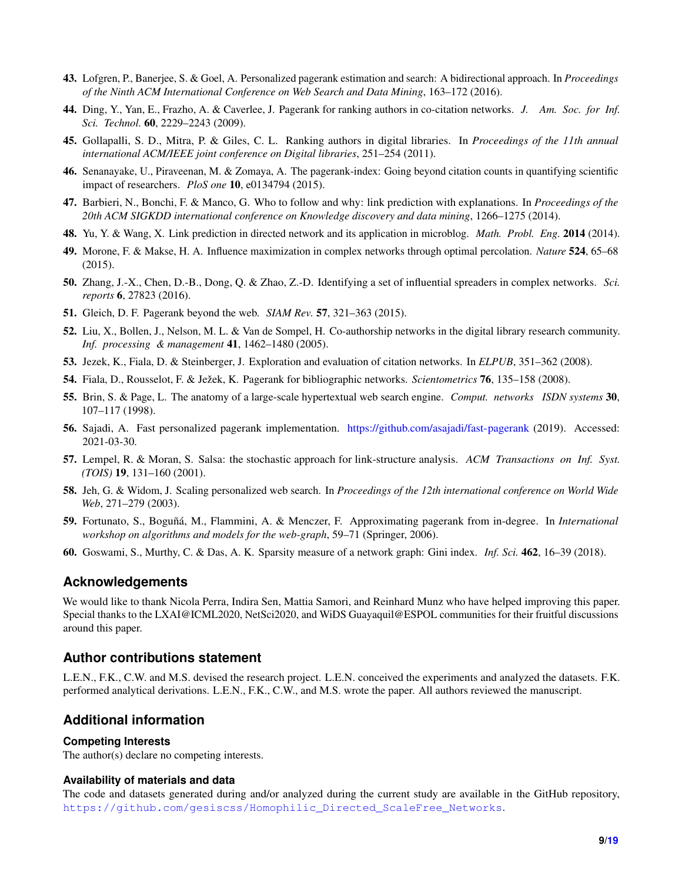- <span id="page-8-0"></span>43. Lofgren, P., Banerjee, S. & Goel, A. Personalized pagerank estimation and search: A bidirectional approach. In *Proceedings of the Ninth ACM International Conference on Web Search and Data Mining*, 163–172 (2016).
- <span id="page-8-1"></span>44. Ding, Y., Yan, E., Frazho, A. & Caverlee, J. Pagerank for ranking authors in co-citation networks. *J. Am. Soc. for Inf. Sci. Technol.* 60, 2229–2243 (2009).
- 45. Gollapalli, S. D., Mitra, P. & Giles, C. L. Ranking authors in digital libraries. In *Proceedings of the 11th annual international ACM/IEEE joint conference on Digital libraries*, 251–254 (2011).
- <span id="page-8-2"></span>46. Senanayake, U., Piraveenan, M. & Zomaya, A. The pagerank-index: Going beyond citation counts in quantifying scientific impact of researchers. *PloS one* 10, e0134794 (2015).
- <span id="page-8-3"></span>47. Barbieri, N., Bonchi, F. & Manco, G. Who to follow and why: link prediction with explanations. In *Proceedings of the 20th ACM SIGKDD international conference on Knowledge discovery and data mining*, 1266–1275 (2014).
- 48. Yu, Y. & Wang, X. Link prediction in directed network and its application in microblog. *Math. Probl. Eng.* 2014 (2014).
- 49. Morone, F. & Makse, H. A. Influence maximization in complex networks through optimal percolation. *Nature* 524, 65–68 (2015).
- <span id="page-8-4"></span>50. Zhang, J.-X., Chen, D.-B., Dong, Q. & Zhao, Z.-D. Identifying a set of influential spreaders in complex networks. *Sci. reports* 6, 27823 (2016).
- <span id="page-8-5"></span>51. Gleich, D. F. Pagerank beyond the web. *SIAM Rev.* 57, 321–363 (2015).
- <span id="page-8-6"></span>52. Liu, X., Bollen, J., Nelson, M. L. & Van de Sompel, H. Co-authorship networks in the digital library research community. *Inf. processing & management* 41, 1462–1480 (2005).
- 53. Jezek, K., Fiala, D. & Steinberger, J. Exploration and evaluation of citation networks. In *ELPUB*, 351–362 (2008).
- <span id="page-8-7"></span>54. Fiala, D., Rousselot, F. & Ježek, K. Pagerank for bibliographic networks. *Scientometrics* 76, 135–158 (2008).
- <span id="page-8-8"></span>55. Brin, S. & Page, L. The anatomy of a large-scale hypertextual web search engine. *Comput. networks ISDN systems* 30, 107–117 (1998).
- <span id="page-8-9"></span>56. Sajadi, A. Fast personalized pagerank implementation. <https://github.com/asajadi/fast-pagerank> (2019). Accessed: 2021-03-30.
- <span id="page-8-10"></span>57. Lempel, R. & Moran, S. Salsa: the stochastic approach for link-structure analysis. *ACM Transactions on Inf. Syst. (TOIS)* 19, 131–160 (2001).
- <span id="page-8-11"></span>58. Jeh, G. & Widom, J. Scaling personalized web search. In *Proceedings of the 12th international conference on World Wide Web*, 271–279 (2003).
- <span id="page-8-12"></span>59. Fortunato, S., Boguñá, M., Flammini, A. & Menczer, F. Approximating pagerank from in-degree. In *International workshop on algorithms and models for the web-graph*, 59–71 (Springer, 2006).
- <span id="page-8-13"></span>60. Goswami, S., Murthy, C. & Das, A. K. Sparsity measure of a network graph: Gini index. *Inf. Sci.* 462, 16–39 (2018).

## **Acknowledgements**

We would like to thank Nicola Perra, Indira Sen, Mattia Samori, and Reinhard Munz who have helped improving this paper. Special thanks to the LXAI@ICML2020, NetSci2020, and WiDS Guayaquil@ESPOL communities for their fruitful discussions around this paper.

## **Author contributions statement**

L.E.N., F.K., C.W. and M.S. devised the research project. L.E.N. conceived the experiments and analyzed the datasets. F.K. performed analytical derivations. L.E.N., F.K., C.W., and M.S. wrote the paper. All authors reviewed the manuscript.

## **Additional information**

## **Competing Interests**

The author(s) declare no competing interests.

## **Availability of materials and data**

The code and datasets generated during and/or analyzed during the current study are available in the GitHub repository, [https://github.com/gesiscss/Homophilic\\_Directed\\_ScaleFree\\_Networks](https://github.com/gesiscss/Homophilic_Directed_ScaleFree_Networks).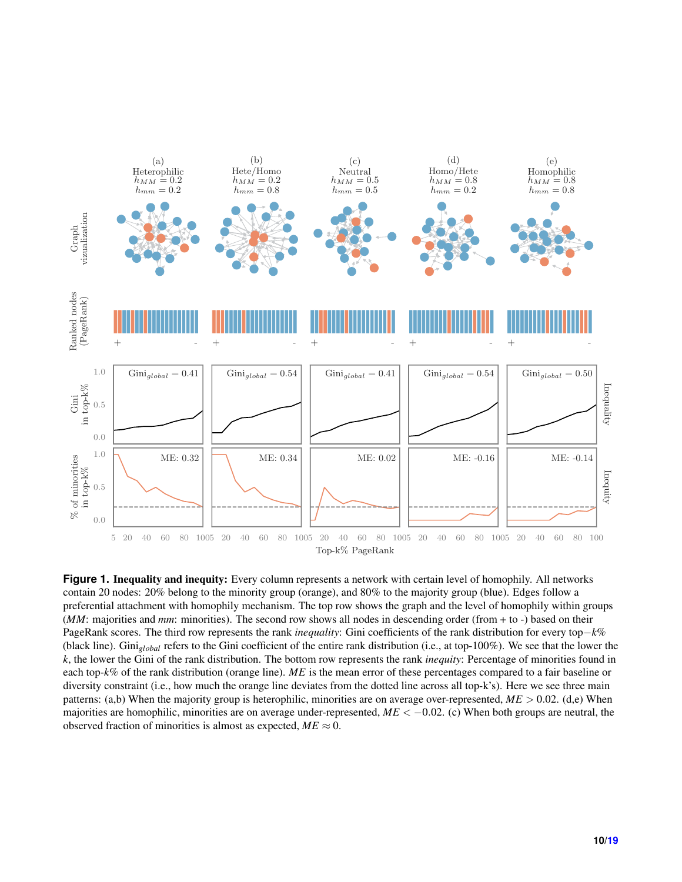<span id="page-9-0"></span>

**Figure 1.** Inequality and inequity: Every column represents a network with certain level of homophily. All networks contain 20 nodes: 20% belong to the minority group (orange), and 80% to the majority group (blue). Edges follow a preferential attachment with homophily mechanism. The top row shows the graph and the level of homophily within groups (*MM*: majorities and *mm*: minorities). The second row shows all nodes in descending order (from + to -) based on their PageRank scores. The third row represents the rank *inequality*: Gini coefficients of the rank distribution for every top−*k*% (black line). Gini*global* refers to the Gini coefficient of the entire rank distribution (i.e., at top-100%). We see that the lower the *k*, the lower the Gini of the rank distribution. The bottom row represents the rank *inequity*: Percentage of minorities found in each top-*k*% of the rank distribution (orange line). *ME* is the mean error of these percentages compared to a fair baseline or diversity constraint (i.e., how much the orange line deviates from the dotted line across all top-k's). Here we see three main patterns: (a,b) When the majority group is heterophilic, minorities are on average over-represented, *ME* > 0.02. (d,e) When majorities are homophilic, minorities are on average under-represented,  $ME < -0.02$ . (c) When both groups are neutral, the observed fraction of minorities is almost as expected,  $ME \approx 0$ .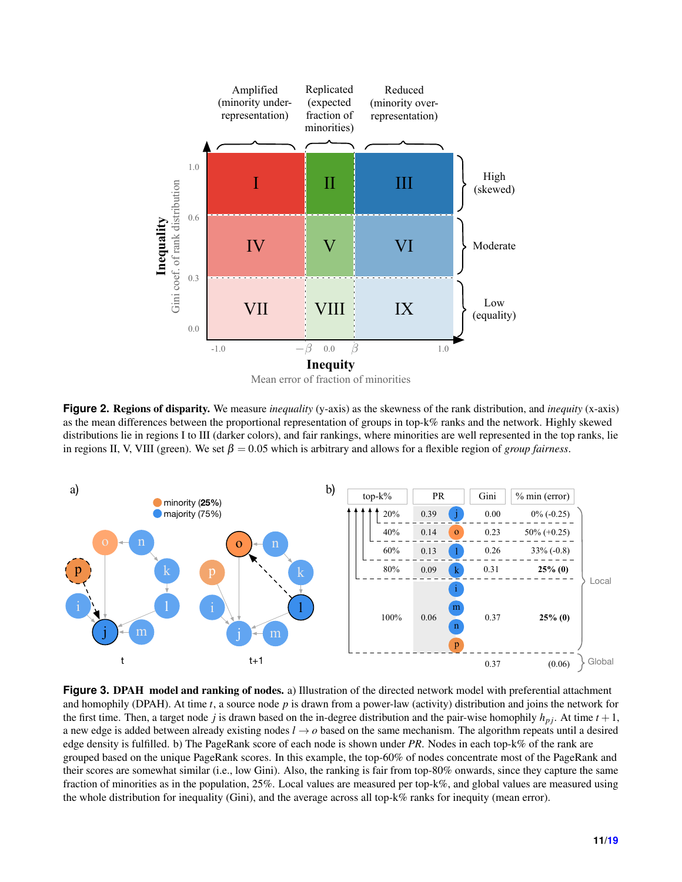<span id="page-10-0"></span>

**Figure 2.** Regions of disparity. We measure *inequality* (y-axis) as the skewness of the rank distribution, and *inequity* (x-axis) as the mean differences between the proportional representation of groups in top-k% ranks and the network. Highly skewed distributions lie in regions I to III (darker colors), and fair rankings, where minorities are well represented in the top ranks, lie in regions II, V, VIII (green). We set  $\beta = 0.05$  which is arbitrary and allows for a flexible region of *group fairness*.

<span id="page-10-1"></span>

**Figure 3. DPAH model and ranking of nodes.** a) Illustration of the directed network model with preferential attachment and homophily (DPAH). At time *t*, a source node *p* is drawn from a power-law (activity) distribution and joins the network for the first time. Then, a target node *j* is drawn based on the in-degree distribution and the pair-wise homophily  $h_{pj}$ . At time  $t + 1$ , a new edge is added between already existing nodes  $l \rightarrow o$  based on the same mechanism. The algorithm repeats until a desired edge density is fulfilled. b) The PageRank score of each node is shown under *PR*. Nodes in each top-k% of the rank are grouped based on the unique PageRank scores. In this example, the top-60% of nodes concentrate most of the PageRank and their scores are somewhat similar (i.e., low Gini). Also, the ranking is fair from top-80% onwards, since they capture the same fraction of minorities as in the population, 25%. Local values are measured per top-k%, and global values are measured using the whole distribution for inequality (Gini), and the average across all top-k% ranks for inequity (mean error).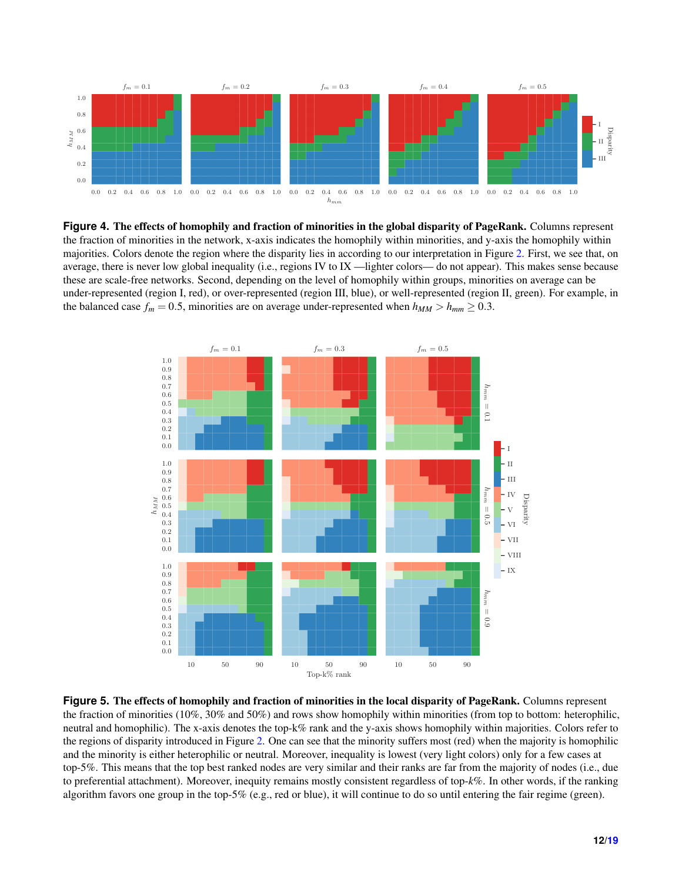<span id="page-11-0"></span>

**Figure 4.** The effects of homophily and fraction of minorities in the global disparity of PageRank. Columns represent the fraction of minorities in the network, x-axis indicates the homophily within minorities, and y-axis the homophily within majorities. Colors denote the region where the disparity lies in according to our interpretation in Figure [2.](#page-10-0) First, we see that, on average, there is never low global inequality (i.e., regions IV to IX —lighter colors— do not appear). This makes sense because these are scale-free networks. Second, depending on the level of homophily within groups, minorities on average can be under-represented (region I, red), or over-represented (region III, blue), or well-represented (region II, green). For example, in the balanced case  $f_m = 0.5$ , minorities are on average under-represented when  $h_{MM} > h_{mm} \ge 0.3$ .

<span id="page-11-1"></span>

**Figure 5.** The effects of homophily and fraction of minorities in the local disparity of PageRank. Columns represent the fraction of minorities (10%, 30% and 50%) and rows show homophily within minorities (from top to bottom: heterophilic, neutral and homophilic). The x-axis denotes the top-k% rank and the y-axis shows homophily within majorities. Colors refer to the regions of disparity introduced in Figure [2.](#page-10-0) One can see that the minority suffers most (red) when the majority is homophilic and the minority is either heterophilic or neutral. Moreover, inequality is lowest (very light colors) only for a few cases at top-5%. This means that the top best ranked nodes are very similar and their ranks are far from the majority of nodes (i.e., due to preferential attachment). Moreover, inequity remains mostly consistent regardless of top-*k*%. In other words, if the ranking algorithm favors one group in the top-5% (e.g., red or blue), it will continue to do so until entering the fair regime (green).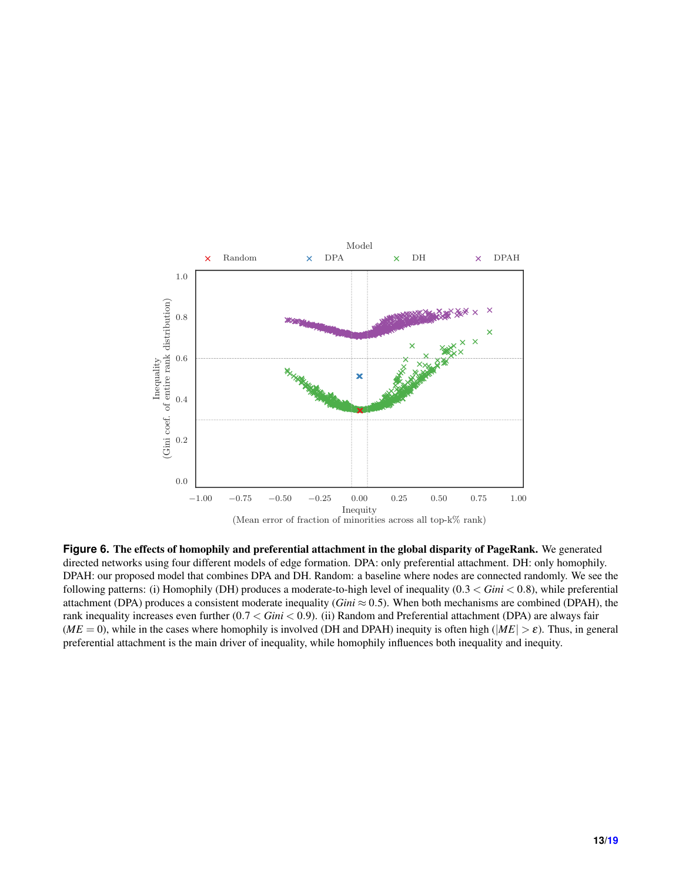<span id="page-12-0"></span>

**Figure 6.** The effects of homophily and preferential attachment in the global disparity of PageRank. We generated directed networks using four different models of edge formation. DPA: only preferential attachment. DH: only homophily. DPAH: our proposed model that combines DPA and DH. Random: a baseline where nodes are connected randomly. We see the following patterns: (i) Homophily (DH) produces a moderate-to-high level of inequality (0.3 < *Gini* < 0.8), while preferential attachment (DPA) produces a consistent moderate inequality ( $Gini \approx 0.5$ ). When both mechanisms are combined (DPAH), the rank inequality increases even further (0.7 < *Gini* < 0.9). (ii) Random and Preferential attachment (DPA) are always fair  $(ME = 0)$ , while in the cases where homophily is involved (DH and DPAH) inequity is often high ( $|ME| > \varepsilon$ ). Thus, in general preferential attachment is the main driver of inequality, while homophily influences both inequality and inequity.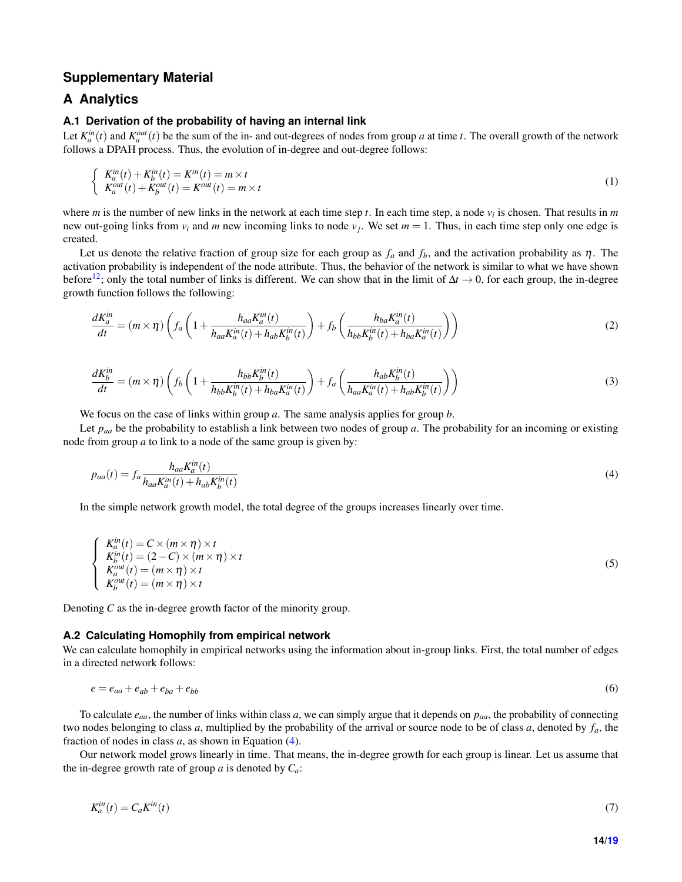## **Supplementary Material**

## **A Analytics**

#### **A.1 Derivation of the probability of having an internal link**

Let  $K_a^{in}(t)$  and  $K_a^{out}(t)$  be the sum of the in- and out-degrees of nodes from group *a* at time *t*. The overall growth of the network follows a DPAH process. Thus, the evolution of in-degree and out-degree follows:

$$
\begin{cases}\nK_a^{in}(t) + K_b^{in}(t) = K^{in}(t) = m \times t \\
K_a^{out}(t) + K_b^{out}(t) = K^{out}(t) = m \times t\n\end{cases}
$$
\n(1)

where *m* is the number of new links in the network at each time step *t*. In each time step, a node *v<sup>i</sup>* is chosen. That results in *m* new out-going links from  $v_i$  and *m* new incoming links to node  $v_j$ . We set  $m = 1$ . Thus, in each time step only one edge is created.

Let us denote the relative fraction of group size for each group as  $f_a$  and  $f_b$ , and the activation probability as  $\eta$ . The activation probability is independent of the node attribute. Thus, the behavior of the network is similar to what we have shown before<sup>[12](#page-6-8)</sup>; only the total number of links is different. We can show that in the limit of  $\Delta t \to 0$ , for each group, the in-degree growth function follows the following:

$$
\frac{dK_a^{in}}{dt} = (m \times \eta) \left( f_a \left( 1 + \frac{h_{aa} K_a^{in}(t)}{h_{aa} K_a^{in}(t) + h_{ab} K_b^{in}(t)} \right) + f_b \left( \frac{h_{ba} K_a^{in}(t)}{h_{bb} K_b^{in}(t) + h_{ba} K_a^{in}(t)} \right) \right)
$$
(2)

$$
\frac{dK_b^{in}}{dt} = (m \times \eta) \left( f_b \left( 1 + \frac{h_{bb} K_b^{in}(t)}{h_{bb} K_b^{in}(t) + h_{ba} K_a^{in}(t)} \right) + f_a \left( \frac{h_{ab} K_b^{in}(t)}{h_{aa} K_a^{in}(t) + h_{ab} K_b^{in}(t)} \right) \right)
$$
(3)

We focus on the case of links within group *a*. The same analysis applies for group *b*.

Let  $p_{aa}$  be the probability to establish a link between two nodes of group *a*. The probability for an incoming or existing node from group *a* to link to a node of the same group is given by:

<span id="page-13-0"></span>
$$
p_{aa}(t) = f_a \frac{h_{aa} K_a^{in}(t)}{h_{aa} K_a^{in}(t) + h_{ab} K_b^{in}(t)}
$$
\n
$$
\tag{4}
$$

In the simple network growth model, the total degree of the groups increases linearly over time.

$$
\begin{cases}\nK_a^{in}(t) = C \times (m \times \eta) \times t \\
K_b^{in}(t) = (2 - C) \times (m \times \eta) \times t \\
K_a^{out}(t) = (m \times \eta) \times t \\
K_b^{out}(t) = (m \times \eta) \times t\n\end{cases}
$$
\n(5)

Denoting *C* as the in-degree growth factor of the minority group.

#### **A.2 Calculating Homophily from empirical network**

We can calculate homophily in empirical networks using the information about in-group links. First, the total number of edges in a directed network follows:

$$
e = e_{aa} + e_{ab} + e_{ba} + e_{bb} \tag{6}
$$

To calculate *eaa*, the number of links within class *a*, we can simply argue that it depends on *paa*, the probability of connecting two nodes belonging to class *a*, multiplied by the probability of the arrival or source node to be of class *a*, denoted by *fa*, the fraction of nodes in class *a*, as shown in Equation [\(4\)](#page-13-0).

Our network model grows linearly in time. That means, the in-degree growth for each group is linear. Let us assume that the in-degree growth rate of group  $a$  is denoted by  $C_a$ :

$$
K_a^{in}(t) = C_a K^{in}(t) \tag{7}
$$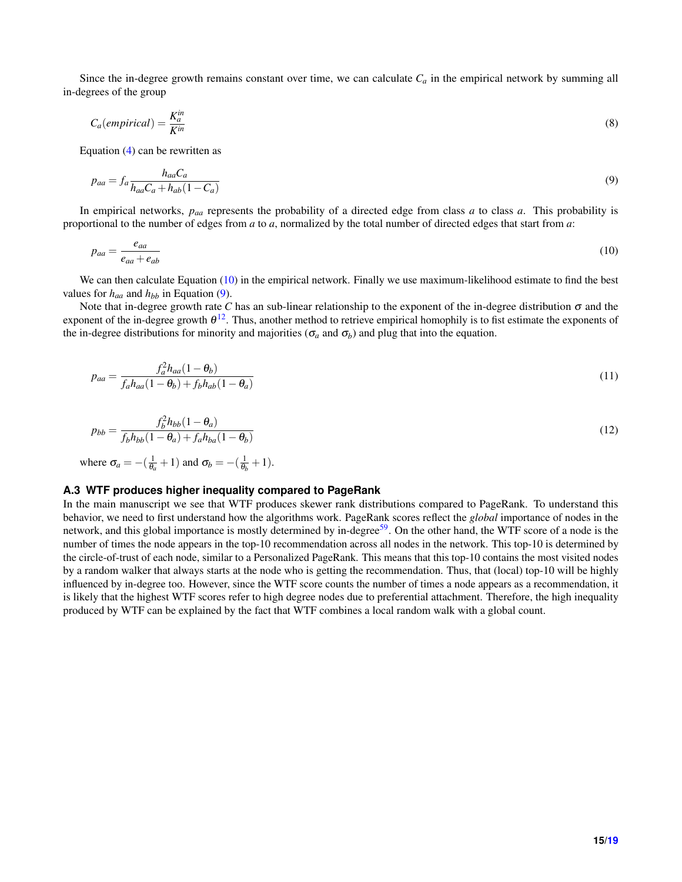Since the in-degree growth remains constant over time, we can calculate  $C_a$  in the empirical network by summing all in-degrees of the group

$$
C_a(empirical) = \frac{K_a^{in}}{K^{in}}
$$
\n(8)

Equation [\(4\)](#page-13-0) can be rewritten as

<span id="page-14-1"></span>
$$
p_{aa} = f_a \frac{h_{aa} C_a}{h_{aa} C_a + h_{ab} (1 - C_a)}\tag{9}
$$

In empirical networks, *paa* represents the probability of a directed edge from class *a* to class *a*. This probability is proportional to the number of edges from *a* to *a*, normalized by the total number of directed edges that start from *a*:

<span id="page-14-0"></span>
$$
p_{aa} = \frac{e_{aa}}{e_{aa} + e_{ab}}\tag{10}
$$

We can then calculate Equation [\(10\)](#page-14-0) in the empirical network. Finally we use maximum-likelihood estimate to find the best values for  $h_{aa}$  and  $h_{bb}$  in Equation [\(9\)](#page-14-1).

Note that in-degree growth rate *C* has an sub-linear relationship to the exponent of the in-degree distribution  $\sigma$  and the exponent of the in-degree growth  $\theta^{12}$  $\theta^{12}$  $\theta^{12}$ . Thus, another method to retrieve empirical homophily is to fist estimate the exponents of the in-degree distributions for minority and majorities ( $\sigma_a$  and  $\sigma_b$ ) and plug that into the equation.

$$
p_{aa} = \frac{f_a^2 h_{aa}(1 - \theta_b)}{f_a h_{aa}(1 - \theta_b) + f_b h_{ab}(1 - \theta_a)}
$$
(11)

$$
p_{bb} = \frac{f_b^2 h_{bb} (1 - \theta_a)}{f_b h_{bb} (1 - \theta_a) + f_a h_{ba} (1 - \theta_b)}
$$
(12)

where 
$$
\sigma_a = -(\frac{1}{\theta_a} + 1)
$$
 and  $\sigma_b = -(\frac{1}{\theta_b} + 1)$ .

#### **A.3 WTF produces higher inequality compared to PageRank**

In the main manuscript we see that WTF produces skewer rank distributions compared to PageRank. To understand this behavior, we need to first understand how the algorithms work. PageRank scores reflect the *global* importance of nodes in the network, and this global importance is mostly determined by in-degree<sup>[59](#page-8-12)</sup>. On the other hand, the WTF score of a node is the number of times the node appears in the top-10 recommendation across all nodes in the network. This top-10 is determined by the circle-of-trust of each node, similar to a Personalized PageRank. This means that this top-10 contains the most visited nodes by a random walker that always starts at the node who is getting the recommendation. Thus, that (local) top-10 will be highly influenced by in-degree too. However, since the WTF score counts the number of times a node appears as a recommendation, it is likely that the highest WTF scores refer to high degree nodes due to preferential attachment. Therefore, the high inequality produced by WTF can be explained by the fact that WTF combines a local random walk with a global count.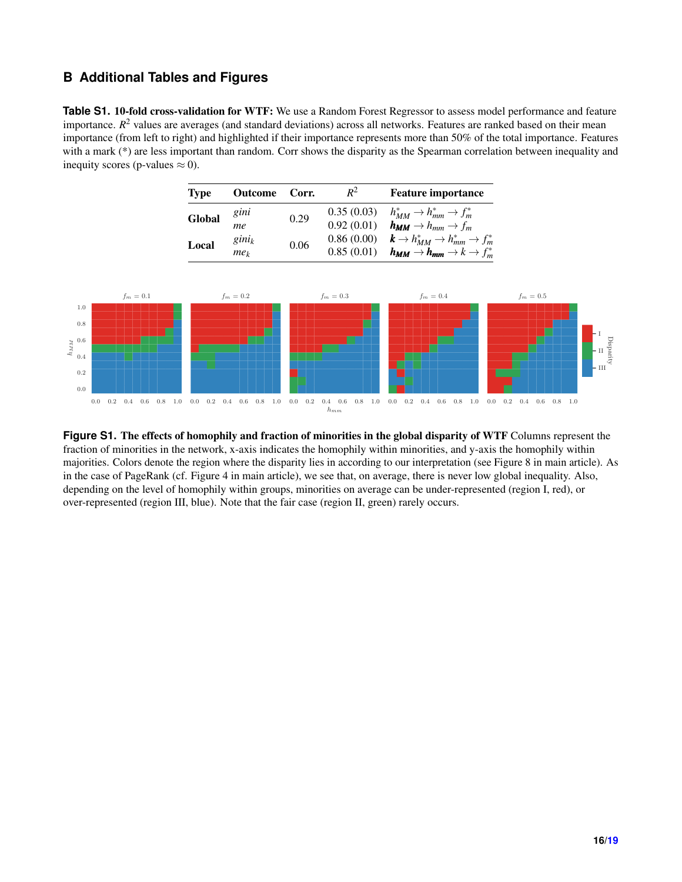## **B Additional Tables and Figures**

**Table S1.** 10-fold cross-validation for WTF: We use a Random Forest Regressor to assess model performance and feature importance.  $R^2$  values are averages (and standard deviations) across all networks. Features are ranked based on their mean importance (from left to right) and highlighted if their importance represents more than 50% of the total importance. Features with a mark (\*) are less important than random. Corr shows the disparity as the Spearman correlation between inequality and inequity scores (p-values  $\approx$  0).

| <b>Type</b> | <b>Outcome</b>              | Corr. | $R^2$                    | <b>Feature importance</b>                                                                                                                      |
|-------------|-----------------------------|-------|--------------------------|------------------------------------------------------------------------------------------------------------------------------------------------|
| Global      | gini<br>me                  | 0.29  | 0.35(0.03)<br>0.92(0.01) | $h_{MM}^* \rightarrow h_{mm}^* \rightarrow f_m^*$<br>$h_{MM} \rightarrow h_{mm} \rightarrow f_m$                                               |
| Local       | $gini_k$<br>me <sub>k</sub> | 0.06  | 0.86(0.00)               | $\bm{k}\rightarrow h_{MM}^*\rightarrow h_{mm}^*\rightarrow f_{m}^*$<br>0.85 (0.01) $h_{MM} \rightarrow h_{mm} \rightarrow k \rightarrow f_m^*$ |



Figure S1. The effects of homophily and fraction of minorities in the global disparity of WTF Columns represent the fraction of minorities in the network, x-axis indicates the homophily within minorities, and y-axis the homophily within majorities. Colors denote the region where the disparity lies in according to our interpretation (see Figure 8 in main article). As in the case of PageRank (cf. Figure 4 in main article), we see that, on average, there is never low global inequality. Also, depending on the level of homophily within groups, minorities on average can be under-represented (region I, red), or over-represented (region III, blue). Note that the fair case (region II, green) rarely occurs.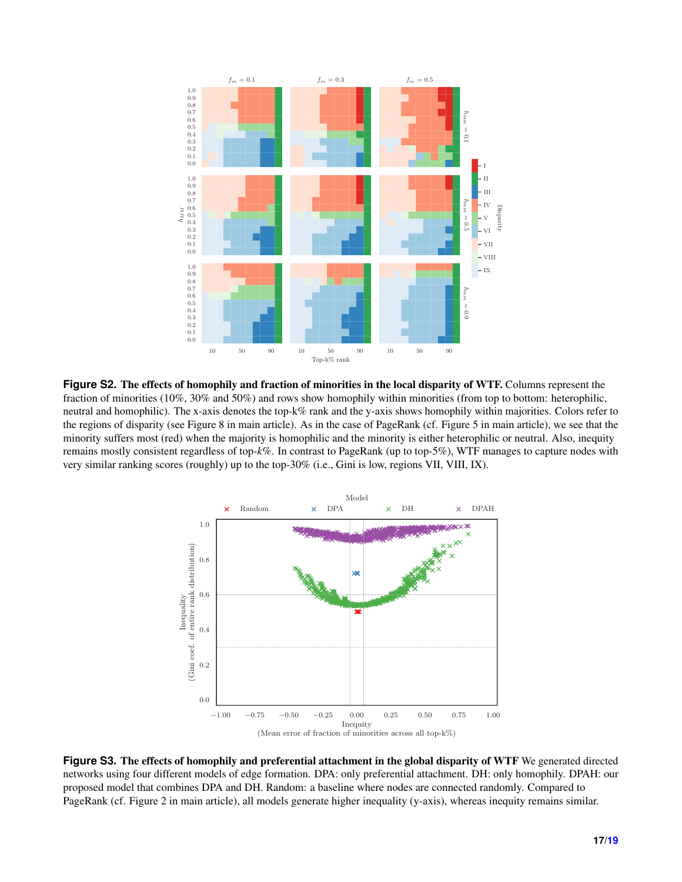

**Figure S2.** The effects of homophily and fraction of minorities in the local disparity of WTF. Columns represent the fraction of minorities (10%, 30% and 50%) and rows show homophily within minorities (from top to bottom: heterophilic, neutral and homophilic). The x-axis denotes the top-k% rank and the y-axis shows homophily within majorities. Colors refer to the regions of disparity (see Figure 8 in main article). As in the case of PageRank (cf. Figure 5 in main article), we see that the minority suffers most (red) when the majority is homophilic and the minority is either heterophilic or neutral. Also, inequity remains mostly consistent regardless of top-*k*%. In contrast to PageRank (up to top-5%), WTF manages to capture nodes with very similar ranking scores (roughly) up to the top-30% (i.e., Gini is low, regions VII, VIII, IX).



**Figure S3.** The effects of homophily and preferential attachment in the global disparity of WTF We generated directed networks using four different models of edge formation. DPA: only preferential attachment. DH: only homophily. DPAH: our proposed model that combines DPA and DH. Random: a baseline where nodes are connected randomly. Compared to PageRank (cf. Figure 2 in main article), all models generate higher inequality (y-axis), whereas inequity remains similar.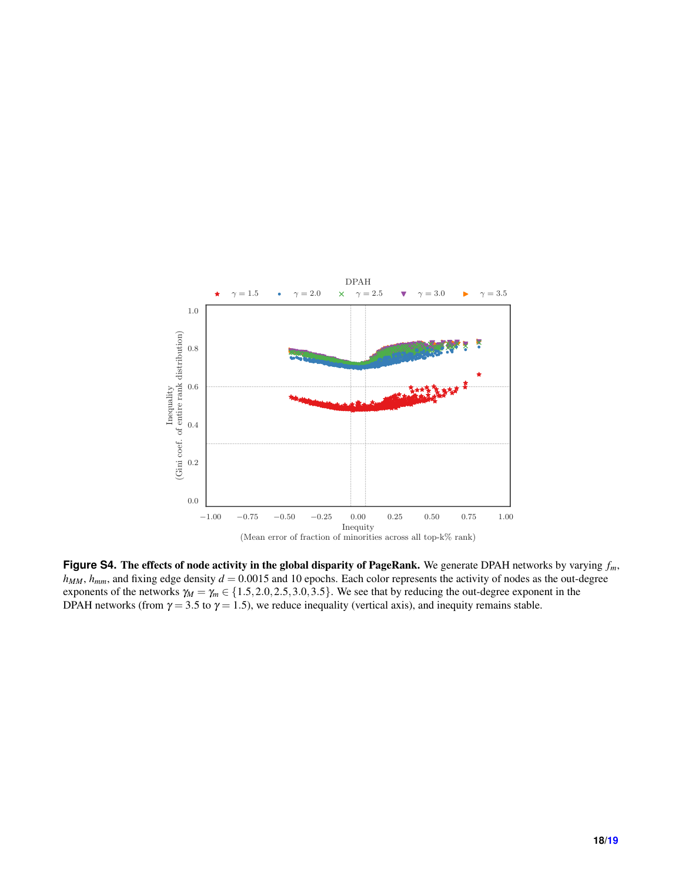

**Figure S4.** The effects of node activity in the global disparity of PageRank. We generate DPAH networks by varying *fm*,  $h_{MM}$ ,  $h_{mm}$ , and fixing edge density  $d = 0.0015$  and 10 epochs. Each color represents the activity of nodes as the out-degree exponents of the networks  $\gamma_M = \gamma_m \in \{1.5, 2.0, 2.5, 3.0, 3.5\}$ . We see that by reducing the out-degree exponent in the DPAH networks (from  $\gamma = 3.5$  to  $\gamma = 1.5$ ), we reduce inequality (vertical axis), and inequity remains stable.